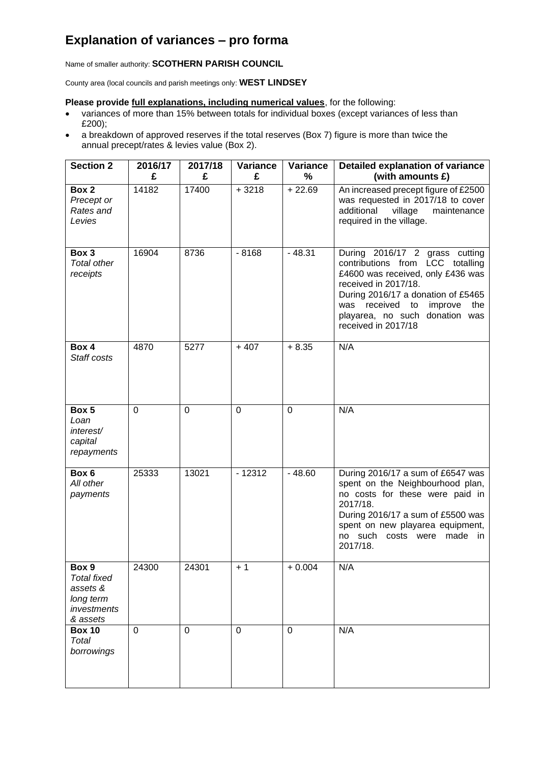## **Explanation of variances – pro forma**

Name of smaller authority: **SCOTHERN PARISH COUNCIL**

County area (local councils and parish meetings only: **WEST LINDSEY**

## **Please provide full explanations, including numerical values**, for the following:

- variances of more than 15% between totals for individual boxes (except variances of less than £200);
- a breakdown of approved reserves if the total reserves (Box 7) figure is more than twice the annual precept/rates & levies value (Box 2).

| <b>Section 2</b>                                                                | 2016/17  | 2017/18     | Variance    | Variance            | Detailed explanation of variance                                                                                                                                                                                                                                       |
|---------------------------------------------------------------------------------|----------|-------------|-------------|---------------------|------------------------------------------------------------------------------------------------------------------------------------------------------------------------------------------------------------------------------------------------------------------------|
|                                                                                 | £        | £           | £           | %                   | (with amounts £)                                                                                                                                                                                                                                                       |
| Box 2<br>Precept or<br>Rates and<br>Levies                                      | 14182    | 17400       | $+3218$     | $\frac{1}{2}$ 22.69 | An increased precept figure of £2500<br>was requested in 2017/18 to cover<br>additional<br>village<br>maintenance<br>required in the village.                                                                                                                          |
| Box 3<br><b>Total other</b><br>receipts                                         | 16904    | 8736        | $-8168$     | $-48.31$            | During 2016/17 2 grass cutting<br>contributions from LCC totalling<br>£4600 was received, only £436 was<br>received in 2017/18.<br>During 2016/17 a donation of £5465<br>was received<br>to<br>improve<br>the<br>playarea, no such donation was<br>received in 2017/18 |
| Box 4<br>Staff costs                                                            | 4870     | 5277        | $+407$      | $+8.35$             | N/A                                                                                                                                                                                                                                                                    |
| Box 5<br>Loan<br>interest/<br>capital<br>repayments                             | $\Omega$ | $\mathbf 0$ | 0           | $\mathbf 0$         | N/A                                                                                                                                                                                                                                                                    |
| Box 6<br>All other<br>payments                                                  | 25333    | 13021       | $-12312$    | $-48.60$            | During 2016/17 a sum of £6547 was<br>spent on the Neighbourhood plan,<br>no costs for these were paid in<br>2017/18.<br>During 2016/17 a sum of £5500 was<br>spent on new playarea equipment,<br>no such costs were made<br>in.<br>2017/18.                            |
| Box 9<br><b>Total fixed</b><br>assets &<br>long term<br>investments<br>& assets | 24300    | 24301       | $+1$        | $+0.004$            | N/A                                                                                                                                                                                                                                                                    |
| <b>Box 10</b><br>Total<br>borrowings                                            | $\Omega$ | $\mathbf 0$ | $\mathbf 0$ | $\mathbf 0$         | N/A                                                                                                                                                                                                                                                                    |